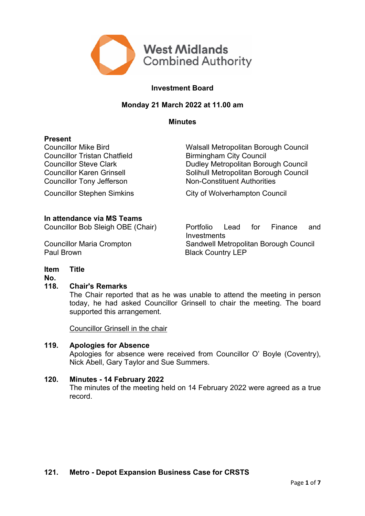

# **Investment Board**

# **Monday 21 March 2022 at 11.00 am**

#### **Minutes**

### **Present**

Councillor Tristan Chatfield **Birmingham City Council** Councillor Tony Jefferson Non-Constituent Authorities

Councillor Mike Bird Walsall Metropolitan Borough Council Councillor Steve Clark **Dudley Metropolitan Borough Council** Councillor Karen Grinsell Solihull Metropolitan Borough Council

Councillor Stephen Simkins City of Wolverhampton Council

### **In attendance via MS Teams**

Paul Brown Black Country LEP

Councillor Bob Sleigh OBE (Chair) Portfolio Lead for Finance and Investments Councillor Maria Crompton Sandwell Metropolitan Borough Council

#### **Item Title**

**No.**

#### **118. Chair's Remarks**

The Chair reported that as he was unable to attend the meeting in person today, he had asked Councillor Grinsell to chair the meeting. The board supported this arrangement.

Councillor Grinsell in the chair

### **119. Apologies for Absence**

Apologies for absence were received from Councillor O' Boyle (Coventry), Nick Abell, Gary Taylor and Sue Summers.

#### **120. Minutes - 14 February 2022**

The minutes of the meeting held on 14 February 2022 were agreed as a true record.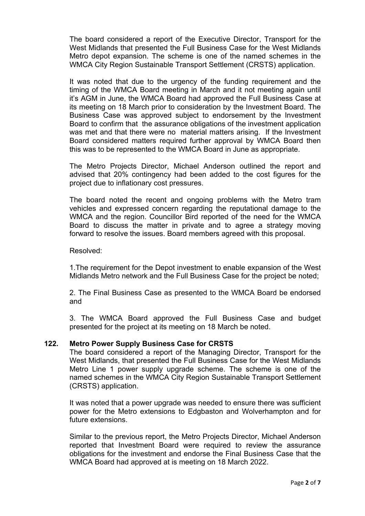The board considered a report of the Executive Director, Transport for the West Midlands that presented the Full Business Case for the West Midlands Metro depot expansion. The scheme is one of the named schemes in the WMCA City Region Sustainable Transport Settlement (CRSTS) application.

It was noted that due to the urgency of the funding requirement and the timing of the WMCA Board meeting in March and it not meeting again until it's AGM in June, the WMCA Board had approved the Full Business Case at its meeting on 18 March prior to consideration by the Investment Board. The Business Case was approved subject to endorsement by the Investment Board to confirm that the assurance obligations of the investment application was met and that there were no material matters arising. If the Investment Board considered matters required further approval by WMCA Board then this was to be represented to the WMCA Board in June as appropriate.

The Metro Projects Director, Michael Anderson outlined the report and advised that 20% contingency had been added to the cost figures for the project due to inflationary cost pressures.

The board noted the recent and ongoing problems with the Metro tram vehicles and expressed concern regarding the reputational damage to the WMCA and the region. Councillor Bird reported of the need for the WMCA Board to discuss the matter in private and to agree a strategy moving forward to resolve the issues. Board members agreed with this proposal.

### Resolved:

1.The requirement for the Depot investment to enable expansion of the West Midlands Metro network and the Full Business Case for the project be noted;

2. The Final Business Case as presented to the WMCA Board be endorsed and

3. The WMCA Board approved the Full Business Case and budget presented for the project at its meeting on 18 March be noted.

# **122. Metro Power Supply Business Case for CRSTS**

The board considered a report of the Managing Director, Transport for the West Midlands, that presented the Full Business Case for the West Midlands Metro Line 1 power supply upgrade scheme. The scheme is one of the named schemes in the WMCA City Region Sustainable Transport Settlement (CRSTS) application.

It was noted that a power upgrade was needed to ensure there was sufficient power for the Metro extensions to Edgbaston and Wolverhampton and for future extensions.

Similar to the previous report, the Metro Projects Director, Michael Anderson reported that Investment Board were required to review the assurance obligations for the investment and endorse the Final Business Case that the WMCA Board had approved at is meeting on 18 March 2022.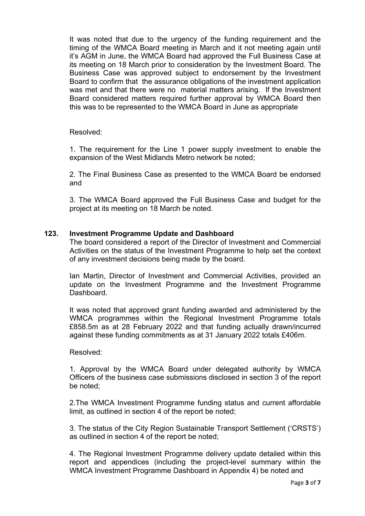It was noted that due to the urgency of the funding requirement and the timing of the WMCA Board meeting in March and it not meeting again until it's AGM in June, the WMCA Board had approved the Full Business Case at its meeting on 18 March prior to consideration by the Investment Board. The Business Case was approved subject to endorsement by the Investment Board to confirm that the assurance obligations of the investment application was met and that there were no material matters arising. If the Investment Board considered matters required further approval by WMCA Board then this was to be represented to the WMCA Board in June as appropriate

Resolved:

1. The requirement for the Line 1 power supply investment to enable the expansion of the West Midlands Metro network be noted;

2. The Final Business Case as presented to the WMCA Board be endorsed and

3. The WMCA Board approved the Full Business Case and budget for the project at its meeting on 18 March be noted.

# **123. Investment Programme Update and Dashboard**

The board considered a report of the Director of Investment and Commercial Activities on the status of the Investment Programme to help set the context of any investment decisions being made by the board.

Ian Martin, Director of Investment and Commercial Activities, provided an update on the Investment Programme and the Investment Programme **Dashboard** 

It was noted that approved grant funding awarded and administered by the WMCA programmes within the Regional Investment Programme totals £858.5m as at 28 February 2022 and that funding actually drawn/incurred against these funding commitments as at 31 January 2022 totals £406m.

# Resolved:

1. Approval by the WMCA Board under delegated authority by WMCA Officers of the business case submissions disclosed in section 3 of the report be noted;

2.The WMCA Investment Programme funding status and current affordable limit, as outlined in section 4 of the report be noted;

3. The status of the City Region Sustainable Transport Settlement ('CRSTS') as outlined in section 4 of the report be noted;

4. The Regional Investment Programme delivery update detailed within this report and appendices (including the project-level summary within the WMCA Investment Programme Dashboard in Appendix 4) be noted and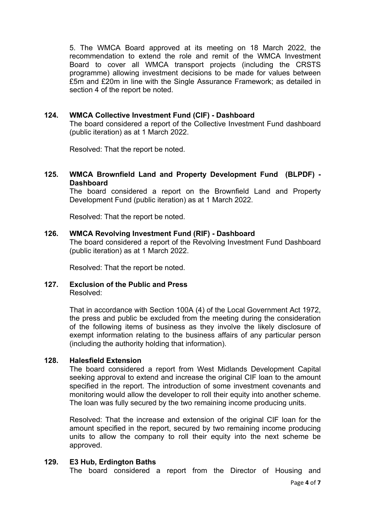5. The WMCA Board approved at its meeting on 18 March 2022, the recommendation to extend the role and remit of the WMCA Investment Board to cover all WMCA transport projects (including the CRSTS programme) allowing investment decisions to be made for values between £5m and £20m in line with the Single Assurance Framework; as detailed in section 4 of the report be noted.

# **124. WMCA Collective Investment Fund (CIF) - Dashboard**

The board considered a report of the Collective Investment Fund dashboard (public iteration) as at 1 March 2022.

Resolved: That the report be noted.

# **125. WMCA Brownfield Land and Property Development Fund (BLPDF) - Dashboard**

The board considered a report on the Brownfield Land and Property Development Fund (public iteration) as at 1 March 2022.

Resolved: That the report be noted.

#### **126. WMCA Revolving Investment Fund (RIF) - Dashboard**

The board considered a report of the Revolving Investment Fund Dashboard (public iteration) as at 1 March 2022.

Resolved: That the report be noted.

#### **127. Exclusion of the Public and Press** Resolved:

That in accordance with Section 100A (4) of the Local Government Act 1972, the press and public be excluded from the meeting during the consideration of the following items of business as they involve the likely disclosure of exempt information relating to the business affairs of any particular person (including the authority holding that information).

#### **128. Halesfield Extension**

The board considered a report from West Midlands Development Capital seeking approval to extend and increase the original CIF loan to the amount specified in the report. The introduction of some investment covenants and monitoring would allow the developer to roll their equity into another scheme. The loan was fully secured by the two remaining income producing units.

Resolved: That the increase and extension of the original CIF loan for the amount specified in the report, secured by two remaining income producing units to allow the company to roll their equity into the next scheme be approved.

### **129. E3 Hub, Erdington Baths**

The board considered a report from the Director of Housing and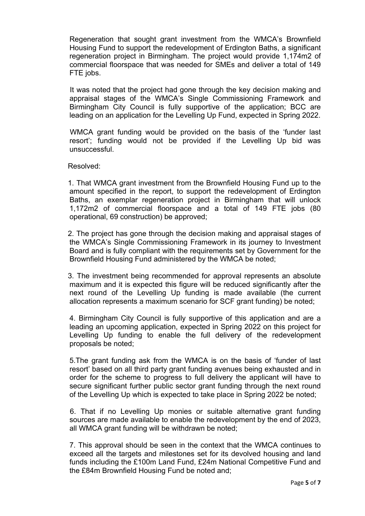Regeneration that sought grant investment from the WMCA's Brownfield Housing Fund to support the redevelopment of Erdington Baths, a significant regeneration project in Birmingham. The project would provide 1,174m2 of commercial floorspace that was needed for SMEs and deliver a total of 149 FTE jobs.

 It was noted that the project had gone through the key decision making and appraisal stages of the WMCA's Single Commissioning Framework and Birmingham City Council is fully supportive of the application; BCC are leading on an application for the Levelling Up Fund, expected in Spring 2022.

WMCA grant funding would be provided on the basis of the 'funder last resort'; funding would not be provided if the Levelling Up bid was unsuccessful.

#### Resolved:

 1. That WMCA grant investment from the Brownfield Housing Fund up to the amount specified in the report, to support the redevelopment of Erdington Baths, an exemplar regeneration project in Birmingham that will unlock 1,172m2 of commercial floorspace and a total of 149 FTE jobs (80 operational, 69 construction) be approved;

 2. The project has gone through the decision making and appraisal stages of the WMCA's Single Commissioning Framework in its journey to Investment Board and is fully compliant with the requirements set by Government for the Brownfield Housing Fund administered by the WMCA be noted;

 3. The investment being recommended for approval represents an absolute maximum and it is expected this figure will be reduced significantly after the next round of the Levelling Up funding is made available (the current allocation represents a maximum scenario for SCF grant funding) be noted;

4. Birmingham City Council is fully supportive of this application and are a leading an upcoming application, expected in Spring 2022 on this project for Levelling Up funding to enable the full delivery of the redevelopment proposals be noted;

5.The grant funding ask from the WMCA is on the basis of 'funder of last resort' based on all third party grant funding avenues being exhausted and in order for the scheme to progress to full delivery the applicant will have to secure significant further public sector grant funding through the next round of the Levelling Up which is expected to take place in Spring 2022 be noted;

 6. That if no Levelling Up monies or suitable alternative grant funding sources are made available to enable the redevelopment by the end of 2023, all WMCA grant funding will be withdrawn be noted;

7. This approval should be seen in the context that the WMCA continues to exceed all the targets and milestones set for its devolved housing and land funds including the £100m Land Fund, £24m National Competitive Fund and the £84m Brownfield Housing Fund be noted and;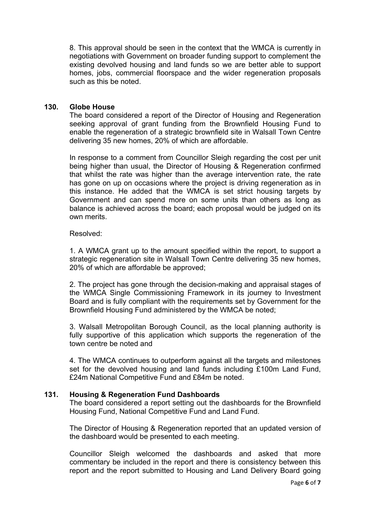8. This approval should be seen in the context that the WMCA is currently in negotiations with Government on broader funding support to complement the existing devolved housing and land funds so we are better able to support homes, jobs, commercial floorspace and the wider regeneration proposals such as this be noted.

## **130. Globe House**

The board considered a report of the Director of Housing and Regeneration seeking approval of grant funding from the Brownfield Housing Fund to enable the regeneration of a strategic brownfield site in Walsall Town Centre delivering 35 new homes, 20% of which are affordable.

In response to a comment from Councillor Sleigh regarding the cost per unit being higher than usual, the Director of Housing & Regeneration confirmed that whilst the rate was higher than the average intervention rate, the rate has gone on up on occasions where the project is driving regeneration as in this instance. He added that the WMCA is set strict housing targets by Government and can spend more on some units than others as long as balance is achieved across the board; each proposal would be judged on its own merits.

#### Resolved:

1. A WMCA grant up to the amount specified within the report, to support a strategic regeneration site in Walsall Town Centre delivering 35 new homes, 20% of which are affordable be approved;

2. The project has gone through the decision-making and appraisal stages of the WMCA Single Commissioning Framework in its journey to Investment Board and is fully compliant with the requirements set by Government for the Brownfield Housing Fund administered by the WMCA be noted;

3. Walsall Metropolitan Borough Council, as the local planning authority is fully supportive of this application which supports the regeneration of the town centre be noted and

4. The WMCA continues to outperform against all the targets and milestones set for the devolved housing and land funds including £100m Land Fund, £24m National Competitive Fund and £84m be noted.

#### **131. Housing & Regeneration Fund Dashboards**

The board considered a report setting out the dashboards for the Brownfield Housing Fund, National Competitive Fund and Land Fund.

The Director of Housing & Regeneration reported that an updated version of the dashboard would be presented to each meeting.

Councillor Sleigh welcomed the dashboards and asked that more commentary be included in the report and there is consistency between this report and the report submitted to Housing and Land Delivery Board going